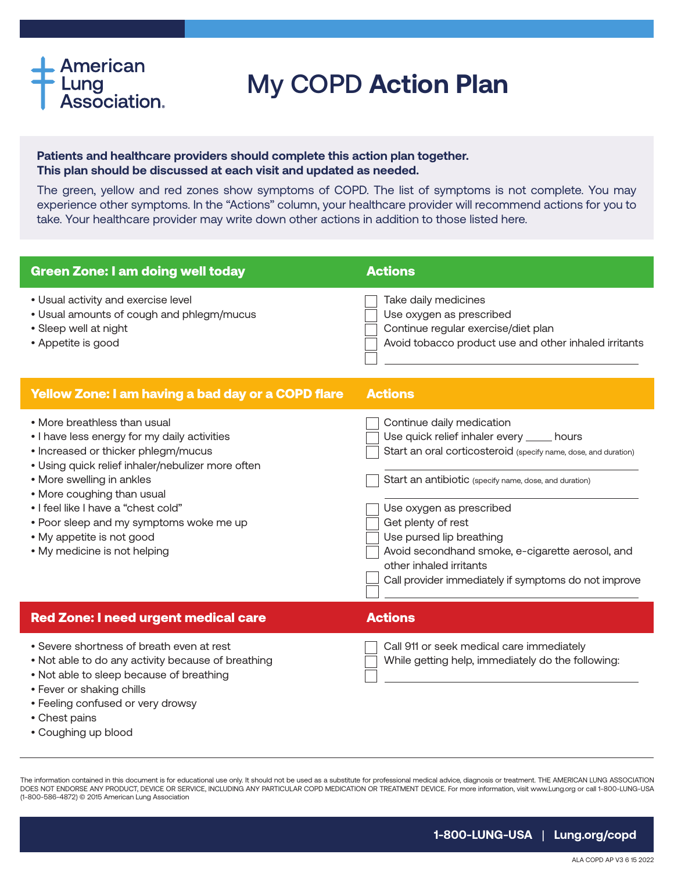## **American** Lung<br>Association.

• Fever or shaking chills

• Coughing up blood

• Chest pains

• Feeling confused or very drowsy

## My COPD **Action Plan**

## **Patients and healthcare providers should complete this action plan together. This plan should be discussed at each visit and updated as needed.**

The green, yellow and red zones show symptoms of COPD. The list of symptoms is not complete. You may experience other symptoms. In the "Actions" column, your healthcare provider will recommend actions for you to take. Your healthcare provider may write down other actions in addition to those listed here.

| <b>Green Zone: I am doing well today</b>                                                                                                                                                                                                                                                                                                                                           | <b>Actions</b>                                                                                                                                                                                                                                                                                                                                                                                                            |
|------------------------------------------------------------------------------------------------------------------------------------------------------------------------------------------------------------------------------------------------------------------------------------------------------------------------------------------------------------------------------------|---------------------------------------------------------------------------------------------------------------------------------------------------------------------------------------------------------------------------------------------------------------------------------------------------------------------------------------------------------------------------------------------------------------------------|
| • Usual activity and exercise level<br>• Usual amounts of cough and phlegm/mucus<br>• Sleep well at night<br>• Appetite is good                                                                                                                                                                                                                                                    | Take daily medicines<br>Use oxygen as prescribed<br>Continue regular exercise/diet plan<br>Avoid tobacco product use and other inhaled irritants                                                                                                                                                                                                                                                                          |
| Yellow Zone: I am having a bad day or a COPD flare                                                                                                                                                                                                                                                                                                                                 | <b>Actions</b>                                                                                                                                                                                                                                                                                                                                                                                                            |
| • More breathless than usual<br>• I have less energy for my daily activities<br>• Increased or thicker phlegm/mucus<br>• Using quick relief inhaler/nebulizer more often<br>• More swelling in ankles<br>• More coughing than usual<br>• I feel like I have a "chest cold"<br>• Poor sleep and my symptoms woke me up<br>• My appetite is not good<br>• My medicine is not helping | Continue daily medication<br>Use quick relief inhaler every _____ hours<br>Start an oral corticosteroid (specify name, dose, and duration)<br>Start an antibiotic (specify name, dose, and duration)<br>Use oxygen as prescribed<br>Get plenty of rest<br>Use pursed lip breathing<br>Avoid secondhand smoke, e-cigarette aerosol, and<br>other inhaled irritants<br>Call provider immediately if symptoms do not improve |
| <b>Red Zone: I need urgent medical care</b>                                                                                                                                                                                                                                                                                                                                        | <b>Actions</b>                                                                                                                                                                                                                                                                                                                                                                                                            |
| • Severe shortness of breath even at rest<br>. Not able to do any activity because of breathing<br>. Not able to sleep because of breathing                                                                                                                                                                                                                                        | Call 911 or seek medical care immediately<br>While getting help, immediately do the following:                                                                                                                                                                                                                                                                                                                            |

The information contained in this document is for educational use only. It should not be used as a substitute for professional medical advice, diagnosis or treatment. THE AMERICAN LUNG ASSOCIATION DOES NOT ENDORSE ANY PRODUCT, DEVICE OR SERVICE, INCLUDING ANY PARTICULAR COPD MEDICATION OR TREATMENT DEVICE. For more information, visit www.Lung.org or call 1-800-LUNG-USA (1-800-586-4872) © 2015 American Lung Association